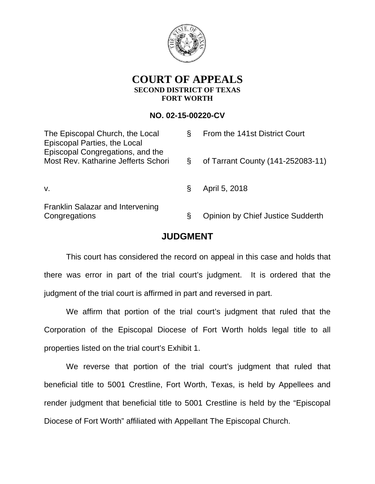

## **COURT OF APPEALS SECOND DISTRICT OF TEXAS FORT WORTH**

## **NO. 02-15-00220-CV**

| The Episcopal Church, the Local<br><b>Episcopal Parties, the Local</b>  | 8 | From the 141st District Court            |
|-------------------------------------------------------------------------|---|------------------------------------------|
| Episcopal Congregations, and the<br>Most Rev. Katharine Jefferts Schori |   | of Tarrant County (141-252083-11)        |
| V.                                                                      |   | April 5, 2018                            |
| <b>Franklin Salazar and Intervening</b><br>Congregations                | Ş | <b>Opinion by Chief Justice Sudderth</b> |

## **JUDGMENT**

This court has considered the record on appeal in this case and holds that there was error in part of the trial court's judgment. It is ordered that the judgment of the trial court is affirmed in part and reversed in part.

We affirm that portion of the trial court's judgment that ruled that the Corporation of the Episcopal Diocese of Fort Worth holds legal title to all properties listed on the trial court's Exhibit 1.

We reverse that portion of the trial court's judgment that ruled that beneficial title to 5001 Crestline, Fort Worth, Texas, is held by Appellees and render judgment that beneficial title to 5001 Crestline is held by the "Episcopal Diocese of Fort Worth" affiliated with Appellant The Episcopal Church.